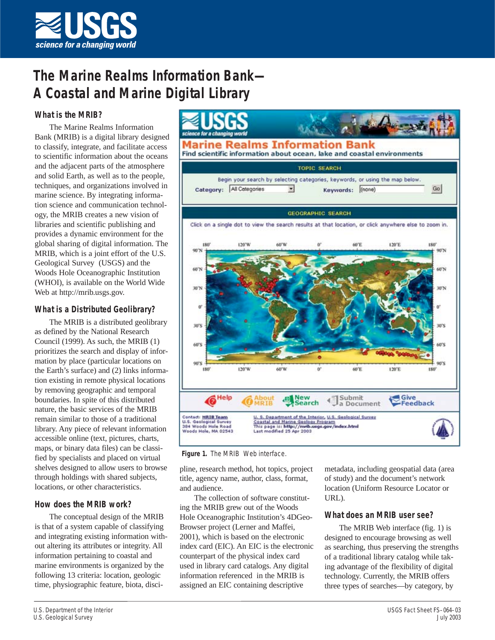

# **The Marine Realms Information Bank— A Coastal and Marine Digital Library**

# **What is the MRIB?**

The Marine Realms Information Bank (MRIB) is a digital library designed to classify, integrate, and facilitate access to scientific information about the oceans and the adjacent parts of the atmosphere and solid Earth, as well as to the people, techniques, and organizations involved in marine science. By integrating information science and communication technology, the MRIB creates a new vision of libraries and scientific publishing and provides a dynamic environment for the global sharing of digital information. The MRIB, which is a joint effort of the U.S. Geological Survey (USGS) and the Woods Hole Oceanographic Institution (WHOI), is available on the World Wide Web at http://mrib.usgs.gov.

## **What is a Distributed Geolibrary?**

The MRIB is a distributed geolibrary as defined by the National Research Council (1999). As such, the MRIB (1) prioritizes the search and display of information by place (particular locations on the Earth's surface) and (2) links information existing in remote physical locations by removing geographic and temporal boundaries. In spite of this distributed nature, the basic services of the MRIB remain similar to those of a traditional library. Any piece of relevant information accessible online (text, pictures, charts, maps, or binary data files) can be classified by specialists and placed on virtual shelves designed to allow users to browse through holdings with shared subjects, locations, or other characteristics.

## **How does the MRIB work?**

The conceptual design of the MRIB is that of a system capable of classifying and integrating existing information without altering its attributes or integrity. All information pertaining to coastal and marine environments is organized by the following 13 criteria: location, geologic time, physiographic feature, biota, disci-



#### **Figure 1.** The MRIB Web interface.

pline, research method, hot topics, project title, agency name, author, class, format, and audience.

The collection of software constituting the MRIB grew out of the Woods Hole Oceanographic Institution's 4DGeo-Browser project (Lerner and Maffei, 2001), which is based on the electronic index card (EIC). An EIC is the electronic counterpart of the physical index card used in library card catalogs. Any digital information referenced in the MRIB is assigned an EIC containing descriptive

metadata, including geospatial data (area of study) and the document's network location (Uniform Resource Locator or URL).

## **What does an MRIB user see?**

The MRIB Web interface (fig. 1) is designed to encourage browsing as well as searching, thus preserving the strengths of a traditional library catalog while taking advantage of the flexibility of digital technology. Currently, the MRIB offers three types of searches—by category, by